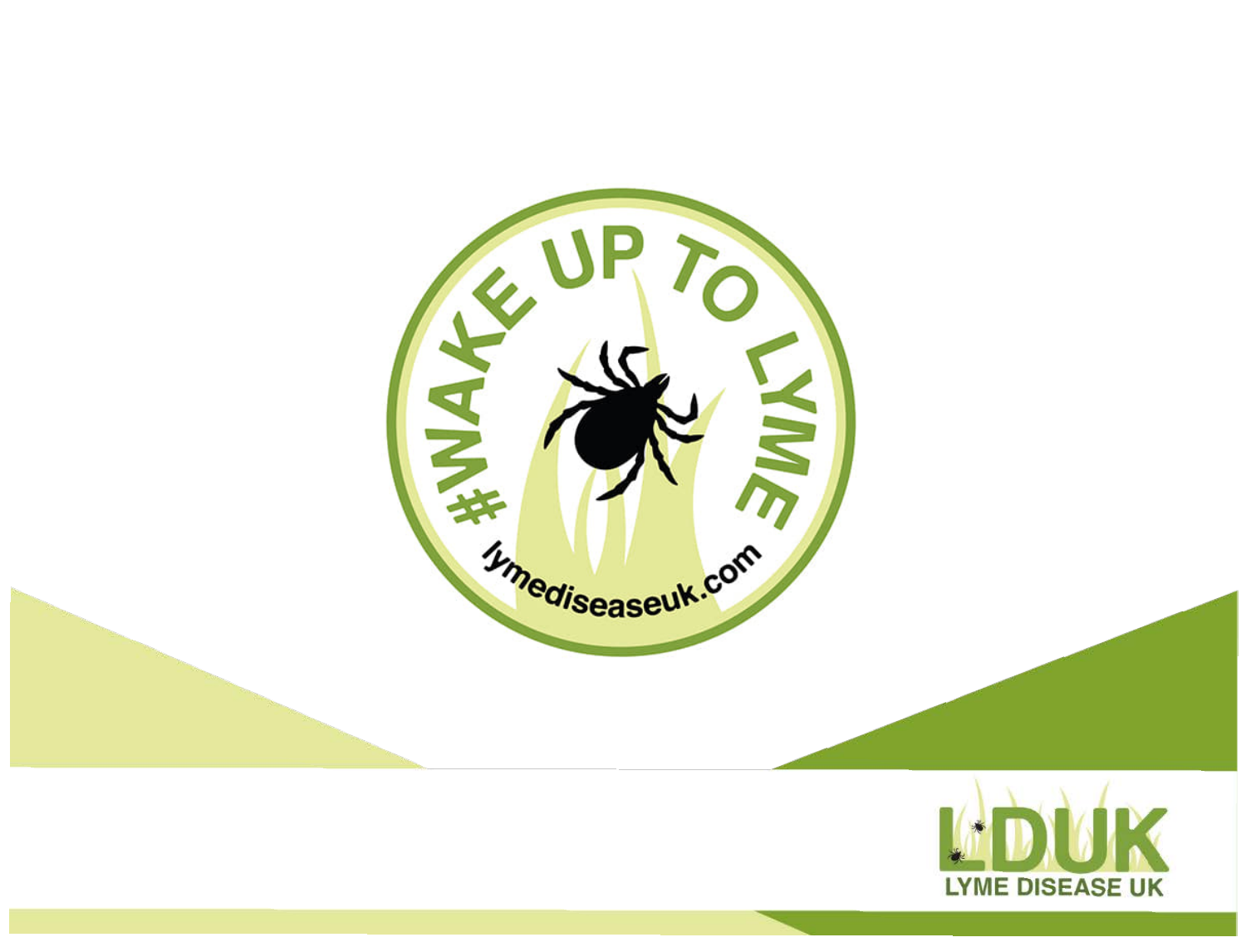

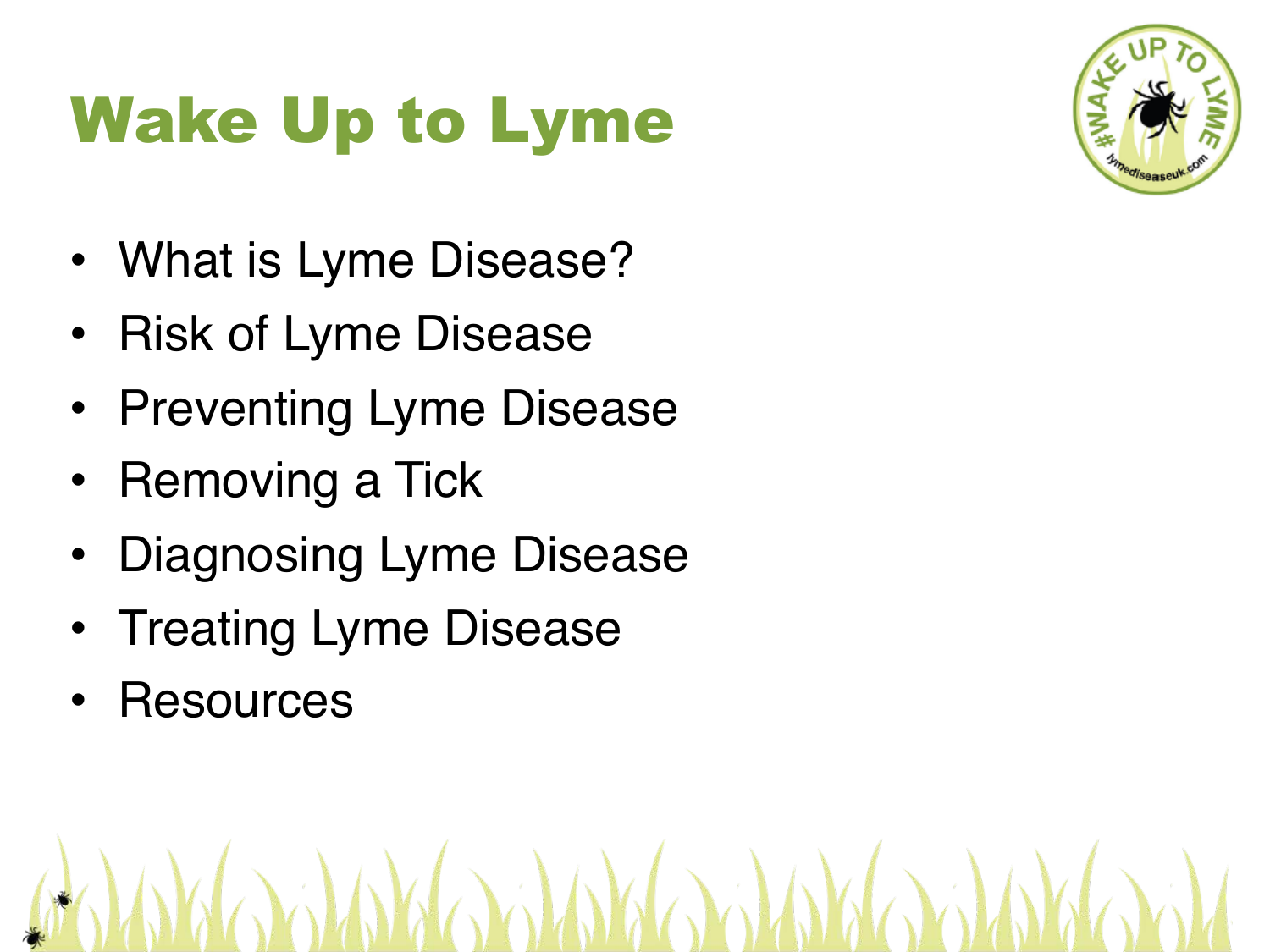### Wake Up to Lyme

- What is Lyme Disease?
- Risk of Lyme Disease
- Preventing Lyme Disease
- Removing a Tick
- Diagnosing Lyme Disease
- Treating Lyme Disease
- **Resources**

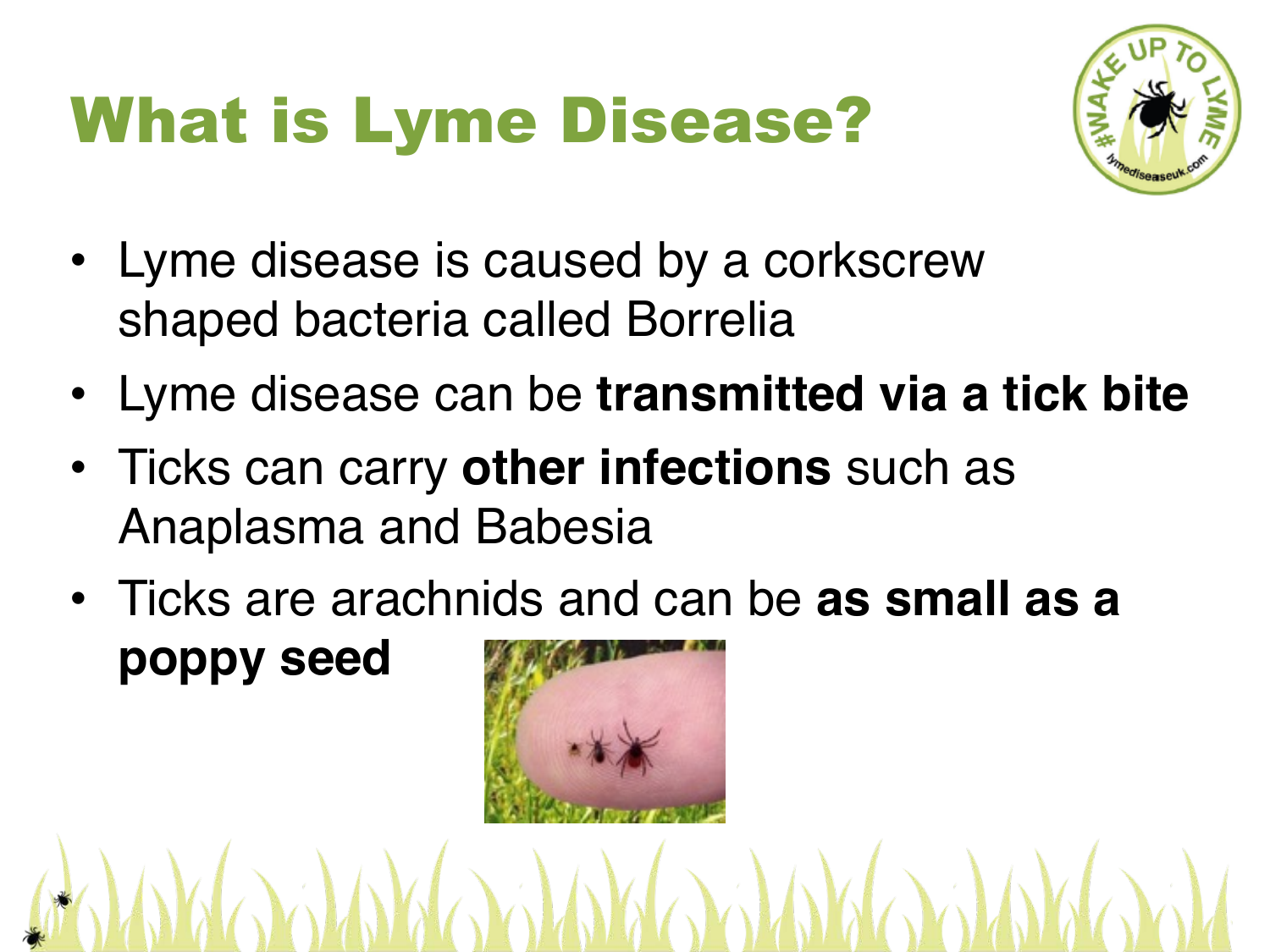#### What is Lyme Disease?



- Lyme disease is caused by a corkscrew shaped bacteria called Borrelia
- Lyme disease can be **transmitted via a tick bite**
- Ticks can carry **other infections** such as Anaplasma and Babesia
- Ticks are arachnids and can be **as small as a poppy seed**

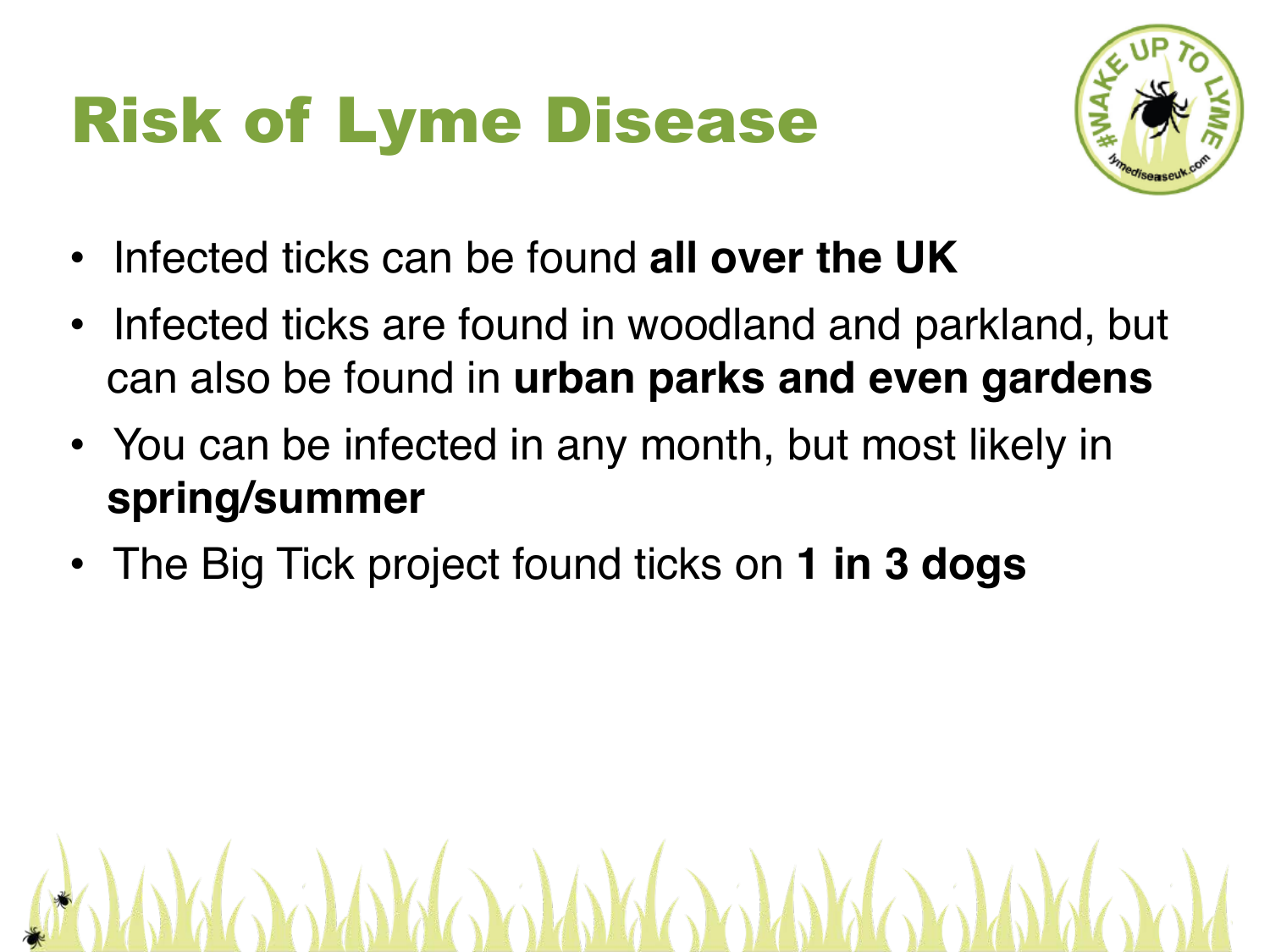### Risk of Lyme Disease



- Infected ticks can be found **all over the UK**
- Infected ticks are found in woodland and parkland, but can also be found in **urban parks and even gardens**

**ARANTA ARAY** 

- You can be infected in any month, but most likely in **spring/summer**
- The Big Tick project found ticks on **1 in 3 dogs**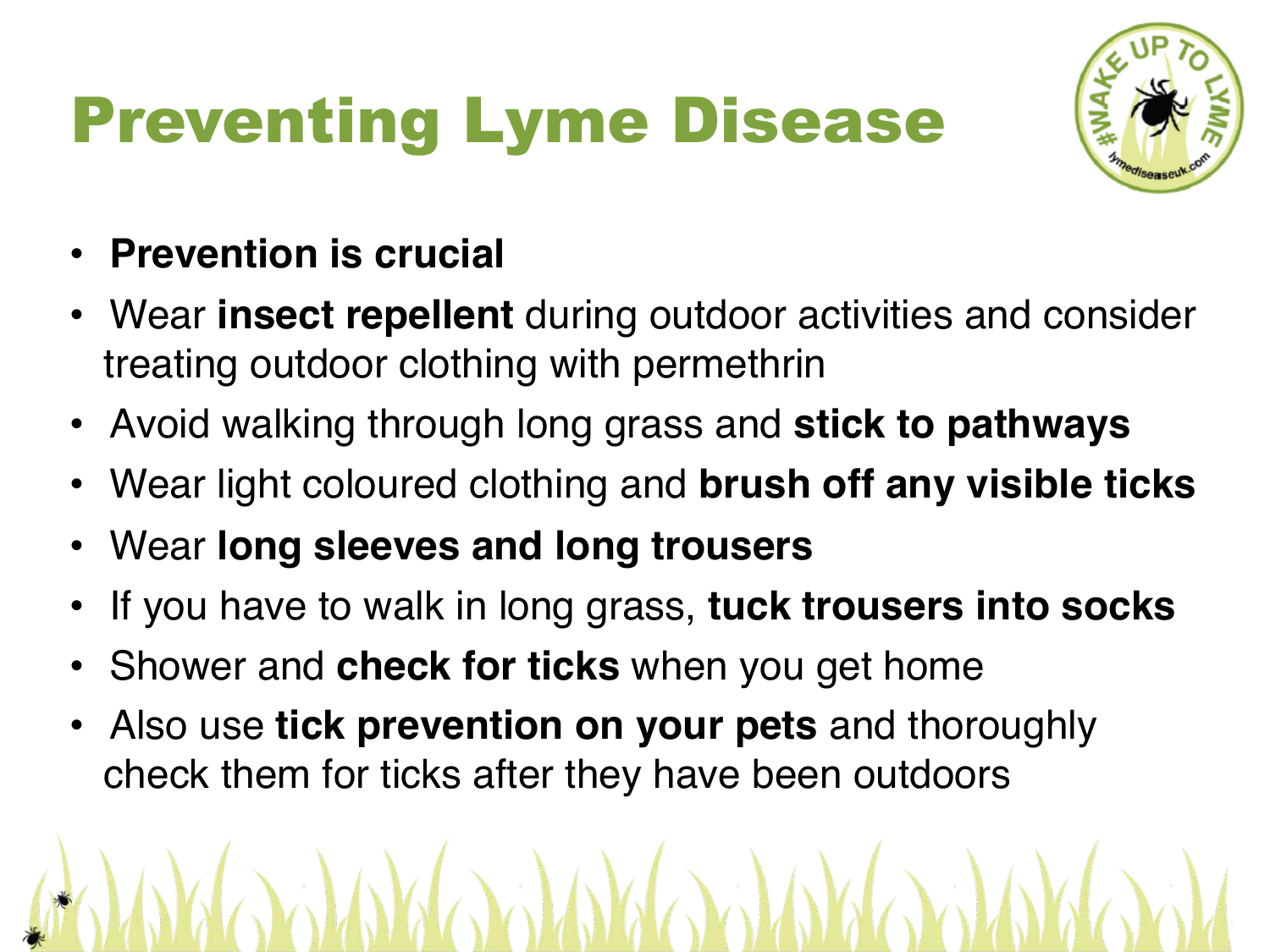# Preventing Lyme Disease



- **Prevention is crucial**
- Wear **insect repellent** during outdoor activities and consider treating outdoor clothing with permethrin
- Avoid walking through long grass and **stick to pathways**
- Wear light coloured clothing and **brush off any visible ticks**
- Wear **long sleeves and long trousers**
- If you have to walk in long grass, **tuck trousers into socks**
- Shower and **check for ticks** when you get home
- Also use **tick prevention on your pets** and thoroughly check them for ticks after they have been outdoors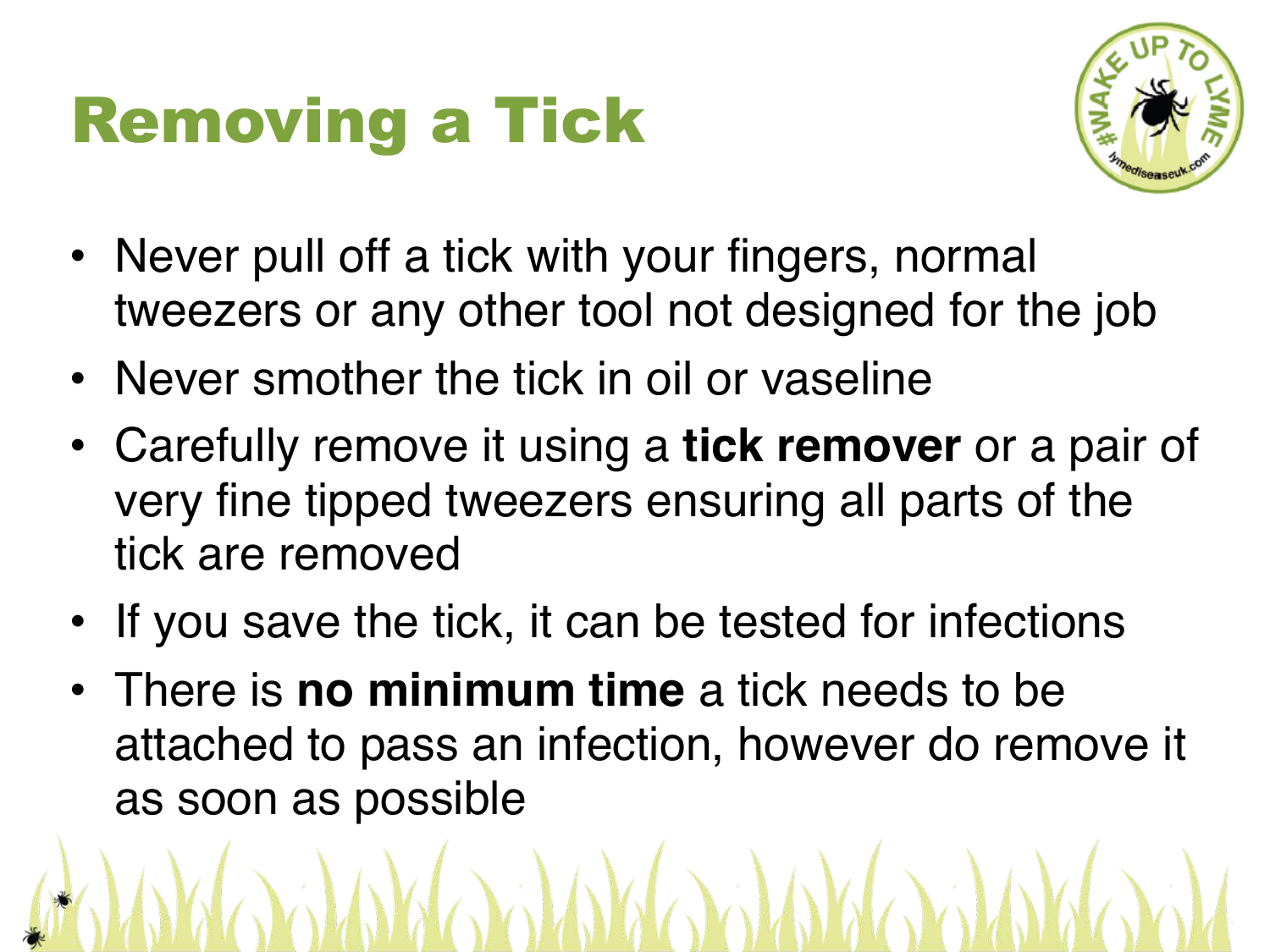#### Removing a Tick



- Never pull off a tick with your fingers, normal tweezers or any other tool not designed for the job
- Never smother the tick in oil or vaseline
- Carefully remove it using a **tick remover** or a pair of very fine tipped tweezers ensuring all parts of the tick are removed
- If you save the tick, it can be tested for infections
- There is **no minimum time** a tick needs to be attached to pass an infection, however do remove it as soon as possible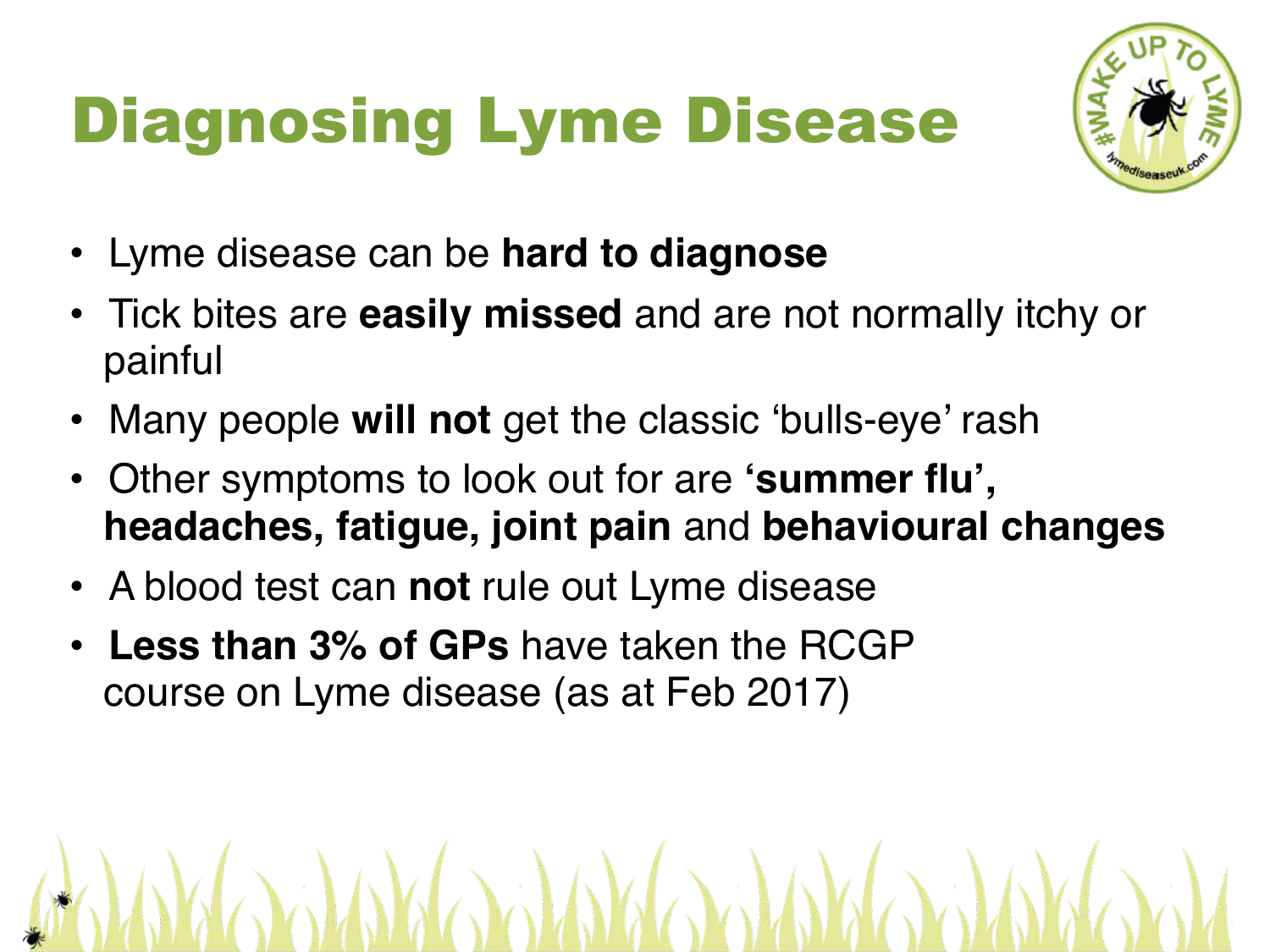# Diagnosing Lyme Disease



- Lyme disease can be **hard to diagnose**
- Tick bites are **easily missed** and are not normally itchy or painful
- Many people **will not** get the classic 'bulls-eye' rash
- Other symptoms to look out for are **'summer flu', headaches, fatigue, joint pain** and **behavioural changes**
- A blood test can **not** rule out Lyme disease
- **Less than 3% of GPs** have taken the RCGP course on Lyme disease (as at Feb 2017)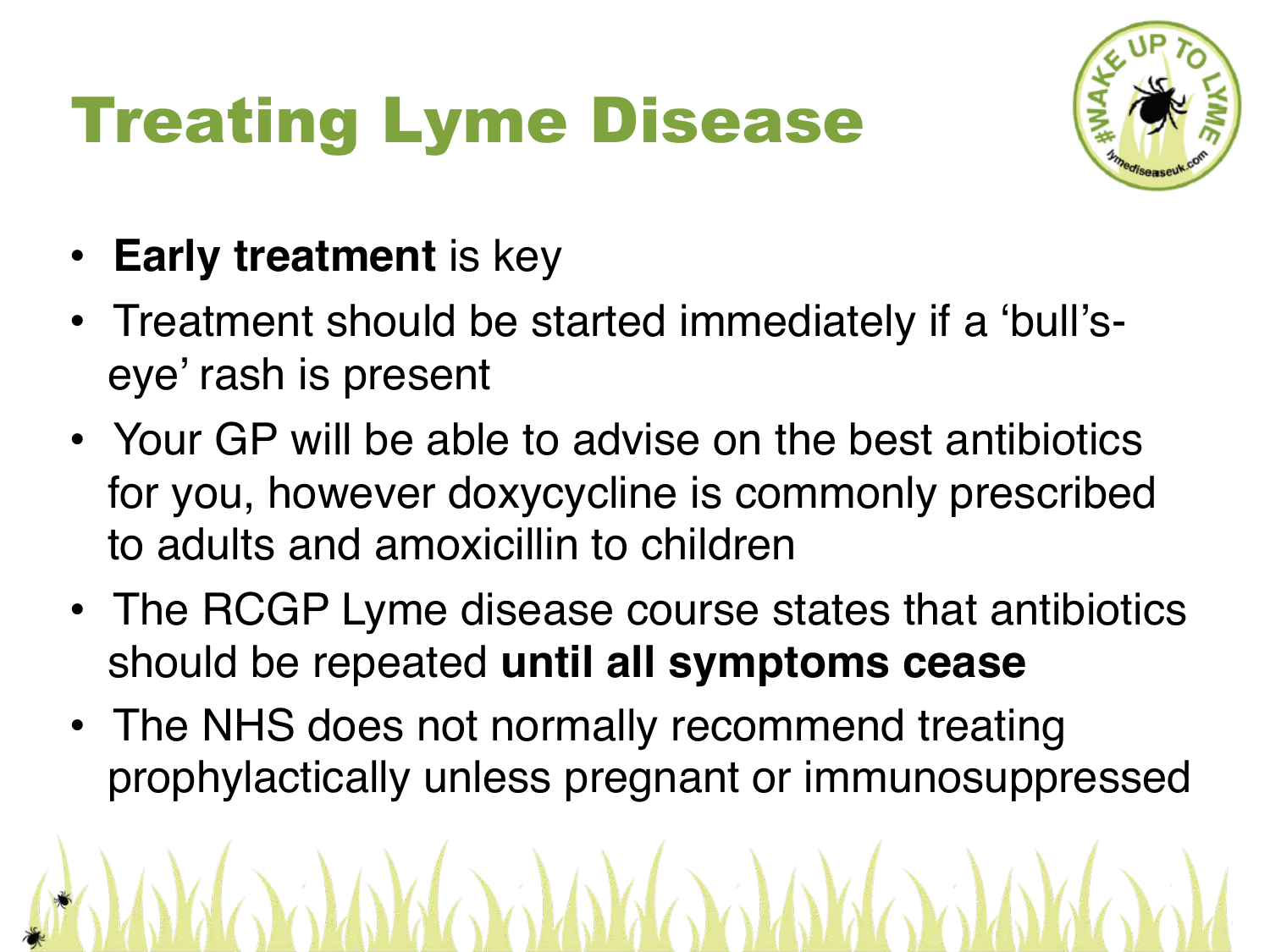# Treating Lyme Disease



- **Early treatment** is key
- Treatment should be started immediately if a 'bull'seye' rash is present
- Your GP will be able to advise on the best antibiotics for you, however doxycycline is commonly prescribed to adults and amoxicillin to children
- The RCGP Lyme disease course states that antibiotics should be repeated **until all symptoms cease**
- The NHS does not normally recommend treating prophylactically unless pregnant or immunosuppressed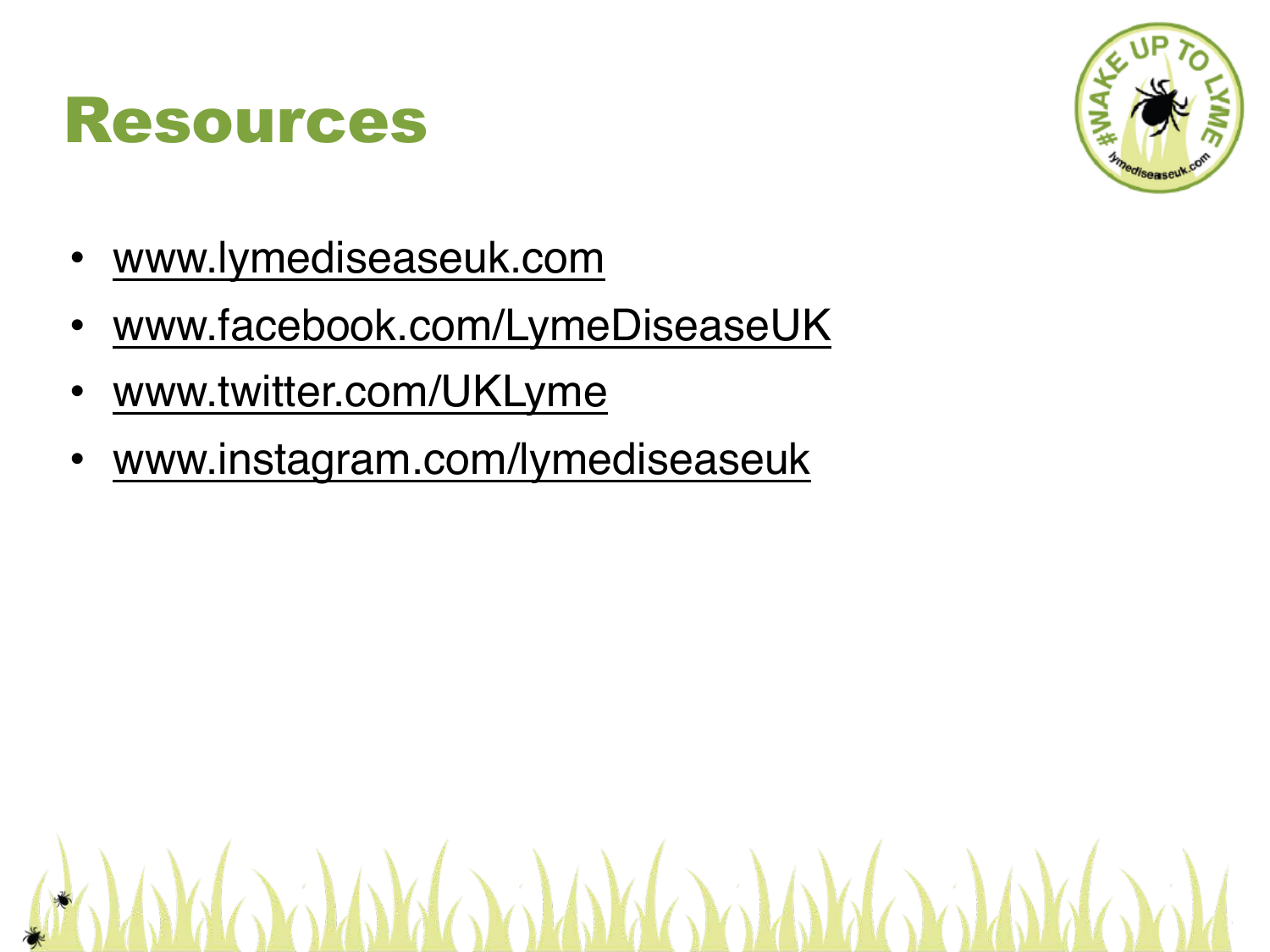

- [www.lymediseaseuk.com](http://www.lymediseaseuk.com)
- [www.facebook.com/LymeDiseaseU](http://www.enjoythecountryside.com)K
- [www.twitter.com/UKLyme](http://www.facebook.com/LymeDiseaseUK)
- [www.instagram.com/lymedis](http://www.twitter.com/UKLyme)easeuk